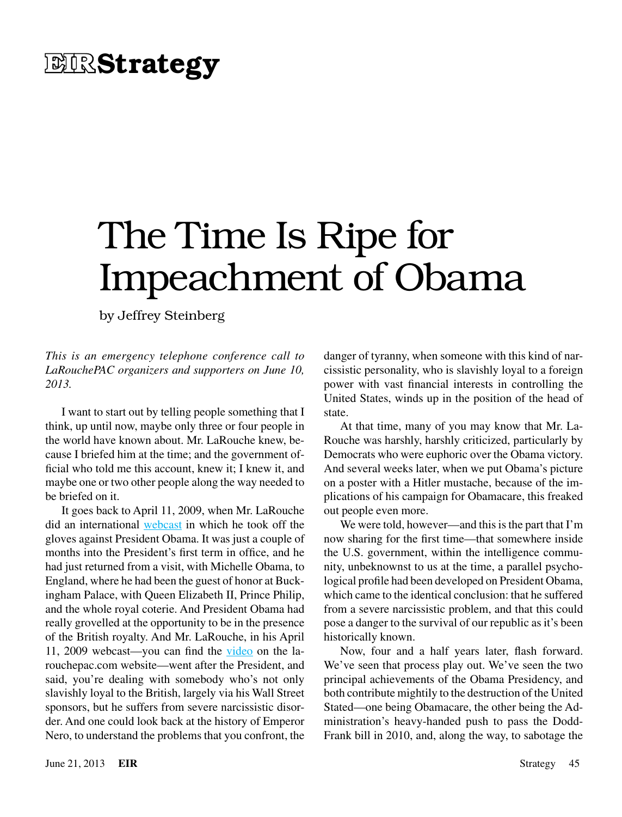# **EIRStrategy**

# The Time Is Ripe for Impeachment of Obama

by Jeffrey Steinberg

*This is an emergency telephone conference call to LaRouchePAC organizers and supporters on June 10, 2013.*

I want to start out by telling people something that I think, up until now, maybe only three or four people in the world have known about. Mr. LaRouche knew, because I briefed him at the time; and the government official who told me this account, knew it; I knew it, and maybe one or two other people along the way needed to be briefed on it.

It goes back to April 11, 2009, when Mr. LaRouche did an international [webcast](http://larouchepub.com/eiw/public/2009/2009_10-19/2009-15/pdf/04-43_3615.pdf) in which he took off the gloves against President Obama. It was just a couple of months into the President's first term in office, and he had just returned from a visit, with Michelle Obama, to England, where he had been the guest of honor at Buckingham Palace, with Queen Elizabeth II, Prince Philip, and the whole royal coterie. And President Obama had really grovelled at the opportunity to be in the presence of the British royalty. And Mr. LaRouche, in his April 11, 2009 webcast—you can find the [video](http://larouchepac.com/webcasts/20090411.html) on the larouchepac.com website—went after the President, and said, you're dealing with somebody who's not only slavishly loyal to the British, largely via his Wall Street sponsors, but he suffers from severe narcissistic disorder. And one could look back at the history of Emperor Nero, to understand the problems that you confront, the

danger of tyranny, when someone with this kind of narcissistic personality, who is slavishly loyal to a foreign power with vast financial interests in controlling the United States, winds up in the position of the head of state.

At that time, many of you may know that Mr. La-Rouche was harshly, harshly criticized, particularly by Democrats who were euphoric over the Obama victory. And several weeks later, when we put Obama's picture on a poster with a Hitler mustache, because of the implications of his campaign for Obamacare, this freaked out people even more.

We were told, however—and this is the part that I'm now sharing for the first time—that somewhere inside the U.S. government, within the intelligence community, unbeknownst to us at the time, a parallel psychological profile had been developed on President Obama, which came to the identical conclusion: that he suffered from a severe narcissistic problem, and that this could pose a danger to the survival of our republic as it's been historically known.

Now, four and a half years later, flash forward. We've seen that process play out. We've seen the two principal achievements of the Obama Presidency, and both contribute mightily to the destruction of the United Stated—one being Obamacare, the other being the Administration's heavy-handed push to pass the Dodd-Frank bill in 2010, and, along the way, to sabotage the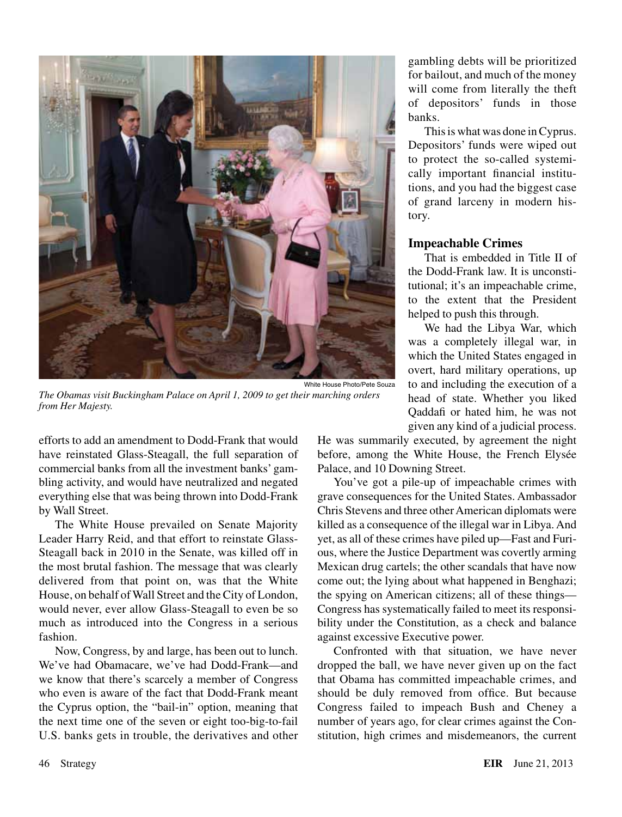

*The Obamas visit Buckingham Palace on April 1, 2009 to get their marching orders from Her Majesty.*

efforts to add an amendment to Dodd-Frank that would have reinstated Glass-Steagall, the full separation of commercial banks from all the investment banks' gambling activity, and would have neutralized and negated everything else that was being thrown into Dodd-Frank by Wall Street.

The White House prevailed on Senate Majority Leader Harry Reid, and that effort to reinstate Glass-Steagall back in 2010 in the Senate, was killed off in the most brutal fashion. The message that was clearly delivered from that point on, was that the White House, on behalf of Wall Street and the City of London, would never, ever allow Glass-Steagall to even be so much as introduced into the Congress in a serious fashion.

Now, Congress, by and large, has been out to lunch. We've had Obamacare, we've had Dodd-Frank—and we know that there's scarcely a member of Congress who even is aware of the fact that Dodd-Frank meant the Cyprus option, the "bail-in" option, meaning that the next time one of the seven or eight too-big-to-fail U.S. banks gets in trouble, the derivatives and other gambling debts will be prioritized for bailout, and much of the money will come from literally the theft of depositors' funds in those banks.

This is what was done in Cyprus. Depositors' funds were wiped out to protect the so-called systemically important financial institutions, and you had the biggest case of grand larceny in modern history.

## **Impeachable Crimes**

That is embedded in Title II of the Dodd-Frank law. It is unconstitutional; it's an impeachable crime, to the extent that the President helped to push this through.

We had the Libya War, which was a completely illegal war, in which the United States engaged in overt, hard military operations, up to and including the execution of a head of state. Whether you liked Qaddafi or hated him, he was not given any kind of a judicial process.

He was summarily executed, by agreement the night before, among the White House, the French Elysée Palace, and 10 Downing Street.

You've got a pile-up of impeachable crimes with grave consequences for the United States. Ambassador Chris Stevens and three other American diplomats were killed as a consequence of the illegal war in Libya. And yet, as all of these crimes have piled up—Fast and Furious, where the Justice Department was covertly arming Mexican drug cartels; the other scandals that have now come out; the lying about what happened in Benghazi; the spying on American citizens; all of these things— Congress has systematically failed to meet its responsibility under the Constitution, as a check and balance against excessive Executive power.

Confronted with that situation, we have never dropped the ball, we have never given up on the fact that Obama has committed impeachable crimes, and should be duly removed from office. But because Congress failed to impeach Bush and Cheney a number of years ago, for clear crimes against the Constitution, high crimes and misdemeanors, the current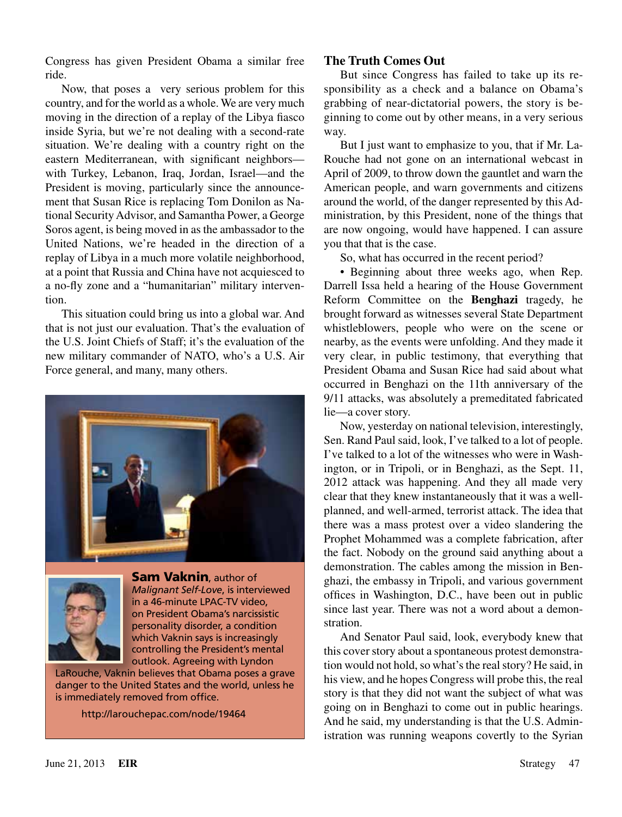Congress has given President Obama a similar free ride.

Now, that poses a very serious problem for this country, and for the world as a whole. We are very much moving in the direction of a replay of the Libya fiasco inside Syria, but we're not dealing with a second-rate situation. We're dealing with a country right on the eastern Mediterranean, with significant neighbors with Turkey, Lebanon, Iraq, Jordan, Israel—and the President is moving, particularly since the announcement that Susan Rice is replacing Tom Donilon as National Security Advisor, and Samantha Power, a George Soros agent, is being moved in as the ambassador to the United Nations, we're headed in the direction of a replay of Libya in a much more volatile neighborhood, at a point that Russia and China have not acquiesced to a no-fly zone and a "humanitarian" military intervention.

This situation could bring us into a global war. And that is not just our evaluation. That's the evaluation of the U.S. Joint Chiefs of Staff; it's the evaluation of the new military commander of NATO, who's a U.S. Air Force general, and many, many others.





**Sam Vaknin**, author of *Malignant Self-Love*, is interviewed in a 46-minute LPAC-TV video, on President Obama's narcissistic personality disorder, a condition which Vaknin says is increasingly controlling the President's mental outlook. Agreeing with Lyndon

LaRouche, Vaknin believes that Obama poses a grave danger to the United States and the world, unless he is immediately removed from office.

http://larouchepac.com/node/19464

# **The Truth Comes Out**

But since Congress has failed to take up its responsibility as a check and a balance on Obama's grabbing of near-dictatorial powers, the story is beginning to come out by other means, in a very serious way.

But I just want to emphasize to you, that if Mr. La-Rouche had not gone on an international webcast in April of 2009, to throw down the gauntlet and warn the American people, and warn governments and citizens around the world, of the danger represented by this Administration, by this President, none of the things that are now ongoing, would have happened. I can assure you that that is the case.

So, what has occurred in the recent period?

• Beginning about three weeks ago, when Rep. Darrell Issa held a hearing of the House Government Reform Committee on the **Benghazi** tragedy, he brought forward as witnesses several State Department whistleblowers, people who were on the scene or nearby, as the events were unfolding. And they made it very clear, in public testimony, that everything that President Obama and Susan Rice had said about what occurred in Benghazi on the 11th anniversary of the 9/11 attacks, was absolutely a premeditated fabricated lie—a cover story.

Now, yesterday on national television, interestingly, Sen. Rand Paul said, look, I've talked to a lot of people. I've talked to a lot of the witnesses who were in Washington, or in Tripoli, or in Benghazi, as the Sept. 11, 2012 attack was happening. And they all made very clear that they knew instantaneously that it was a wellplanned, and well-armed, terrorist attack. The idea that there was a mass protest over a video slandering the Prophet Mohammed was a complete fabrication, after the fact. Nobody on the ground said anything about a demonstration. The cables among the mission in Benghazi, the embassy in Tripoli, and various government offices in Washington, D.C., have been out in public since last year. There was not a word about a demonstration.

And Senator Paul said, look, everybody knew that this cover story about a spontaneous protest demonstration would not hold, so what's the real story? He said, in his view, and he hopes Congress will probe this, the real story is that they did not want the subject of what was going on in Benghazi to come out in public hearings. And he said, my understanding is that the U.S. Administration was running weapons covertly to the Syrian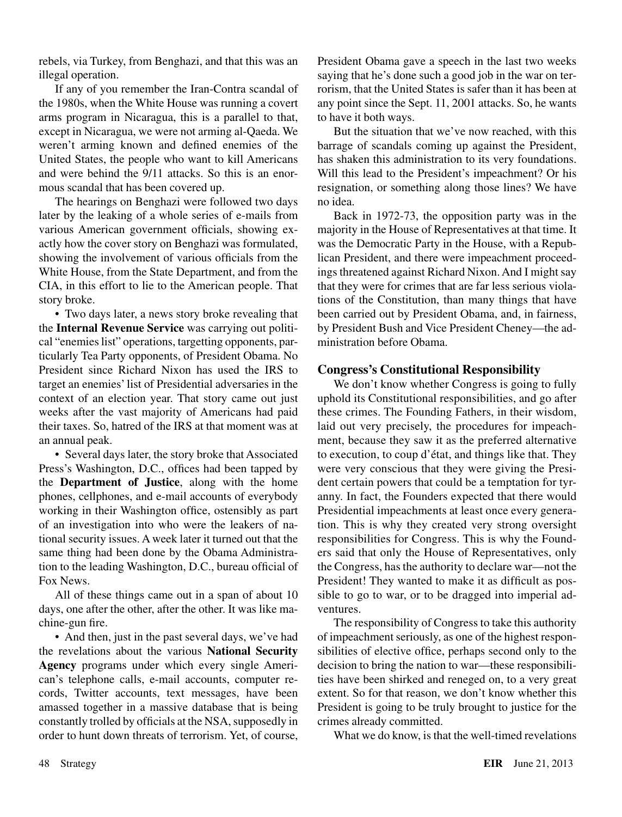rebels, via Turkey, from Benghazi, and that this was an illegal operation.

If any of you remember the Iran-Contra scandal of the 1980s, when the White House was running a covert arms program in Nicaragua, this is a parallel to that, except in Nicaragua, we were not arming al-Qaeda. We weren't arming known and defined enemies of the United States, the people who want to kill Americans and were behind the 9/11 attacks. So this is an enormous scandal that has been covered up.

The hearings on Benghazi were followed two days later by the leaking of a whole series of e-mails from various American government officials, showing exactly how the cover story on Benghazi was formulated, showing the involvement of various officials from the White House, from the State Department, and from the CIA, in this effort to lie to the American people. That story broke.

• Two days later, a news story broke revealing that the **Internal Revenue Service** was carrying out political "enemies list" operations, targetting opponents, particularly Tea Party opponents, of President Obama. No President since Richard Nixon has used the IRS to target an enemies' list of Presidential adversaries in the context of an election year. That story came out just weeks after the vast majority of Americans had paid their taxes. So, hatred of the IRS at that moment was at an annual peak.

• Several days later, the story broke that Associated Press's Washington, D.C., offices had been tapped by the **Department of Justice**, along with the home phones, cellphones, and e-mail accounts of everybody working in their Washington office, ostensibly as part of an investigation into who were the leakers of national security issues. A week later it turned out that the same thing had been done by the Obama Administration to the leading Washington, D.C., bureau official of Fox News.

All of these things came out in a span of about 10 days, one after the other, after the other. It was like machine-gun fire.

• And then, just in the past several days, we've had the revelations about the various **National Security Agency** programs under which every single American's telephone calls, e-mail accounts, computer records, Twitter accounts, text messages, have been amassed together in a massive database that is being constantly trolled by officials at the NSA, supposedly in order to hunt down threats of terrorism. Yet, of course, President Obama gave a speech in the last two weeks saying that he's done such a good job in the war on terrorism, that the United States is safer than it has been at any point since the Sept. 11, 2001 attacks. So, he wants to have it both ways.

But the situation that we've now reached, with this barrage of scandals coming up against the President, has shaken this administration to its very foundations. Will this lead to the President's impeachment? Or his resignation, or something along those lines? We have no idea.

Back in 1972-73, the opposition party was in the majority in the House of Representatives at that time. It was the Democratic Party in the House, with a Republican President, and there were impeachment proceedings threatened against Richard Nixon. And I might say that they were for crimes that are far less serious violations of the Constitution, than many things that have been carried out by President Obama, and, in fairness, by President Bush and Vice President Cheney—the administration before Obama.

#### **Congress's Constitutional Responsibility**

We don't know whether Congress is going to fully uphold its Constitutional responsibilities, and go after these crimes. The Founding Fathers, in their wisdom, laid out very precisely, the procedures for impeachment, because they saw it as the preferred alternative to execution, to coup d'état, and things like that. They were very conscious that they were giving the President certain powers that could be a temptation for tyranny. In fact, the Founders expected that there would Presidential impeachments at least once every generation. This is why they created very strong oversight responsibilities for Congress. This is why the Founders said that only the House of Representatives, only the Congress, has the authority to declare war—not the President! They wanted to make it as difficult as possible to go to war, or to be dragged into imperial adventures.

The responsibility of Congress to take this authority of impeachment seriously, as one of the highest responsibilities of elective office, perhaps second only to the decision to bring the nation to war—these responsibilities have been shirked and reneged on, to a very great extent. So for that reason, we don't know whether this President is going to be truly brought to justice for the crimes already committed.

What we do know, is that the well-timed revelations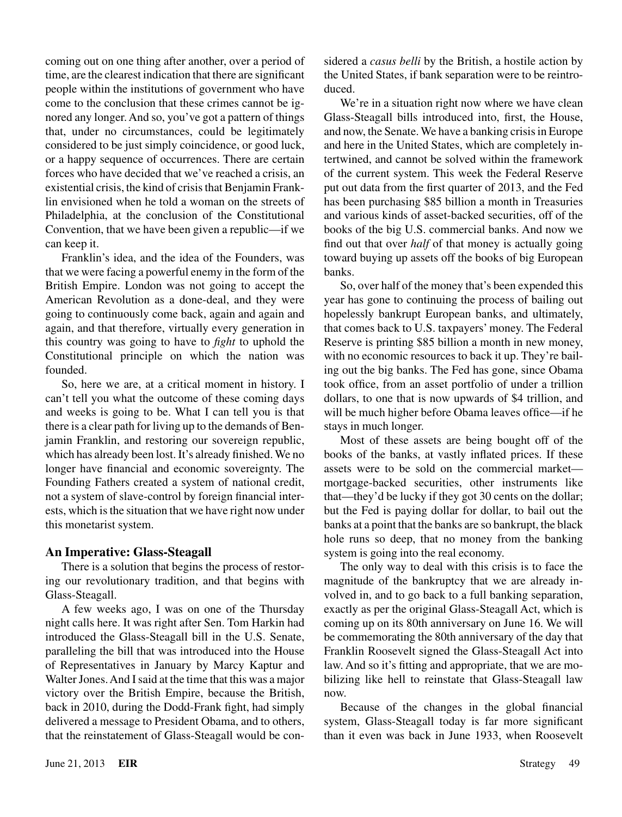coming out on one thing after another, over a period of time, are the clearest indication that there are significant people within the institutions of government who have come to the conclusion that these crimes cannot be ignored any longer. And so, you've got a pattern of things that, under no circumstances, could be legitimately considered to be just simply coincidence, or good luck, or a happy sequence of occurrences. There are certain forces who have decided that we've reached a crisis, an existential crisis, the kind of crisis that Benjamin Franklin envisioned when he told a woman on the streets of Philadelphia, at the conclusion of the Constitutional Convention, that we have been given a republic—if we can keep it.

Franklin's idea, and the idea of the Founders, was that we were facing a powerful enemy in the form of the British Empire. London was not going to accept the American Revolution as a done-deal, and they were going to continuously come back, again and again and again, and that therefore, virtually every generation in this country was going to have to *fight* to uphold the Constitutional principle on which the nation was founded.

So, here we are, at a critical moment in history. I can't tell you what the outcome of these coming days and weeks is going to be. What I can tell you is that there is a clear path for living up to the demands of Benjamin Franklin, and restoring our sovereign republic, which has already been lost. It's already finished. We no longer have financial and economic sovereignty. The Founding Fathers created a system of national credit, not a system of slave-control by foreign financial interests, which is the situation that we have right now under this monetarist system.

## **An Imperative: Glass-Steagall**

There is a solution that begins the process of restoring our revolutionary tradition, and that begins with Glass-Steagall.

A few weeks ago, I was on one of the Thursday night calls here. It was right after Sen. Tom Harkin had introduced the Glass-Steagall bill in the U.S. Senate, paralleling the bill that was introduced into the House of Representatives in January by Marcy Kaptur and Walter Jones. And I said at the time that this was a major victory over the British Empire, because the British, back in 2010, during the Dodd-Frank fight, had simply delivered a message to President Obama, and to others, that the reinstatement of Glass-Steagall would be considered a *casus belli* by the British, a hostile action by the United States, if bank separation were to be reintroduced.

We're in a situation right now where we have clean Glass-Steagall bills introduced into, first, the House, and now, the Senate. We have a banking crisis in Europe and here in the United States, which are completely intertwined, and cannot be solved within the framework of the current system. This week the Federal Reserve put out data from the first quarter of 2013, and the Fed has been purchasing \$85 billion a month in Treasuries and various kinds of asset-backed securities, off of the books of the big U.S. commercial banks. And now we find out that over *half* of that money is actually going toward buying up assets off the books of big European banks.

So, over half of the money that's been expended this year has gone to continuing the process of bailing out hopelessly bankrupt European banks, and ultimately, that comes back to U.S. taxpayers' money. The Federal Reserve is printing \$85 billion a month in new money, with no economic resources to back it up. They're bailing out the big banks. The Fed has gone, since Obama took office, from an asset portfolio of under a trillion dollars, to one that is now upwards of \$4 trillion, and will be much higher before Obama leaves office—if he stays in much longer.

Most of these assets are being bought off of the books of the banks, at vastly inflated prices. If these assets were to be sold on the commercial market mortgage-backed securities, other instruments like that—they'd be lucky if they got 30 cents on the dollar; but the Fed is paying dollar for dollar, to bail out the banks at a point that the banks are so bankrupt, the black hole runs so deep, that no money from the banking system is going into the real economy.

The only way to deal with this crisis is to face the magnitude of the bankruptcy that we are already involved in, and to go back to a full banking separation, exactly as per the original Glass-Steagall Act, which is coming up on its 80th anniversary on June 16. We will be commemorating the 80th anniversary of the day that Franklin Roosevelt signed the Glass-Steagall Act into law. And so it's fitting and appropriate, that we are mobilizing like hell to reinstate that Glass-Steagall law now.

Because of the changes in the global financial system, Glass-Steagall today is far more significant than it even was back in June 1933, when Roosevelt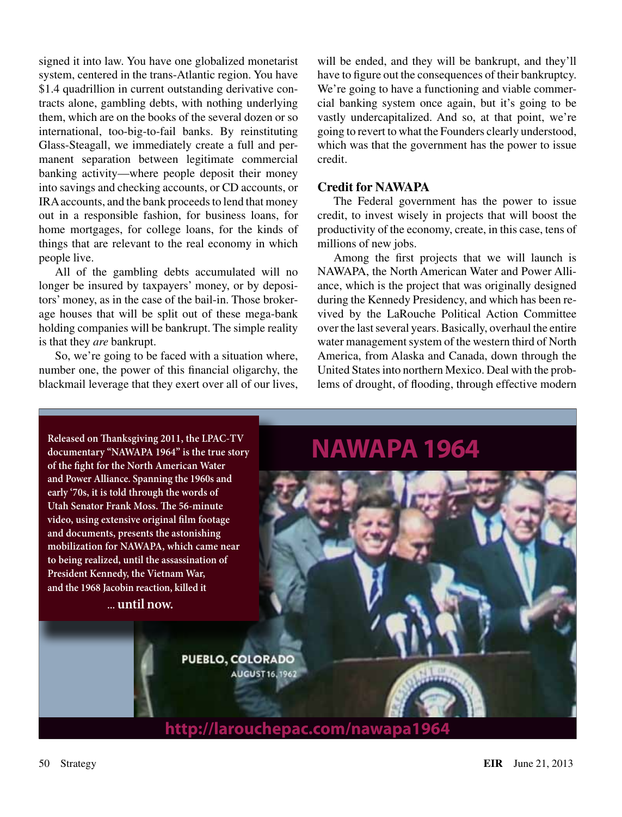signed it into law. You have one globalized monetarist system, centered in the trans-Atlantic region. You have \$1.4 quadrillion in current outstanding derivative contracts alone, gambling debts, with nothing underlying them, which are on the books of the several dozen or so international, too-big-to-fail banks. By reinstituting Glass-Steagall, we immediately create a full and permanent separation between legitimate commercial banking activity—where people deposit their money into savings and checking accounts, or CD accounts, or IRA accounts, and the bank proceeds to lend that money out in a responsible fashion, for business loans, for home mortgages, for college loans, for the kinds of things that are relevant to the real economy in which people live.

All of the gambling debts accumulated will no longer be insured by taxpayers' money, or by depositors' money, as in the case of the bail-in. Those brokerage houses that will be split out of these mega-bank holding companies will be bankrupt. The simple reality is that they *are* bankrupt.

So, we're going to be faced with a situation where, number one, the power of this financial oligarchy, the blackmail leverage that they exert over all of our lives, will be ended, and they will be bankrupt, and they'll have to figure out the consequences of their bankruptcy. We're going to have a functioning and viable commercial banking system once again, but it's going to be vastly undercapitalized. And so, at that point, we're going to revert to what the Founders clearly understood, which was that the government has the power to issue credit.

# **Credit for NAWAPA**

The Federal government has the power to issue credit, to invest wisely in projects that will boost the productivity of the economy, create, in this case, tens of millions of new jobs.

Among the first projects that we will launch is NAWAPA, the North American Water and Power Alliance, which is the project that was originally designed during the Kennedy Presidency, and which has been revived by the LaRouche Political Action Committee over the last several years. Basically, overhaul the entire water management system of the western third of North America, from Alaska and Canada, down through the United States into northern Mexico. Deal with the problems of drought, of flooding, through effective modern

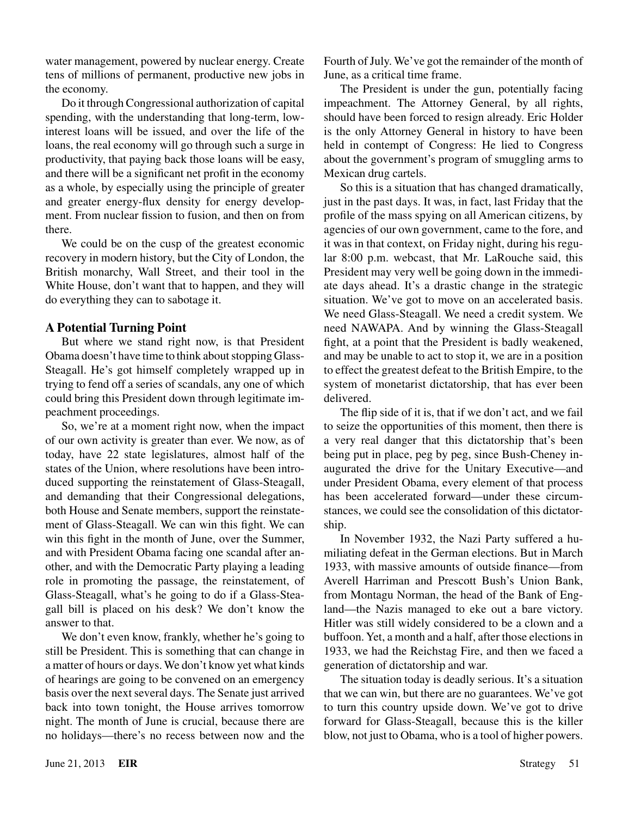water management, powered by nuclear energy. Create tens of millions of permanent, productive new jobs in the economy.

Do it through Congressional authorization of capital spending, with the understanding that long-term, lowinterest loans will be issued, and over the life of the loans, the real economy will go through such a surge in productivity, that paying back those loans will be easy, and there will be a significant net profit in the economy as a whole, by especially using the principle of greater and greater energy-flux density for energy development. From nuclear fission to fusion, and then on from there.

We could be on the cusp of the greatest economic recovery in modern history, but the City of London, the British monarchy, Wall Street, and their tool in the White House, don't want that to happen, and they will do everything they can to sabotage it.

# **A Potential Turning Point**

But where we stand right now, is that President Obama doesn't have time to think about stopping Glass-Steagall. He's got himself completely wrapped up in trying to fend off a series of scandals, any one of which could bring this President down through legitimate impeachment proceedings.

So, we're at a moment right now, when the impact of our own activity is greater than ever. We now, as of today, have 22 state legislatures, almost half of the states of the Union, where resolutions have been introduced supporting the reinstatement of Glass-Steagall, and demanding that their Congressional delegations, both House and Senate members, support the reinstatement of Glass-Steagall. We can win this fight. We can win this fight in the month of June, over the Summer, and with President Obama facing one scandal after another, and with the Democratic Party playing a leading role in promoting the passage, the reinstatement, of Glass-Steagall, what's he going to do if a Glass-Steagall bill is placed on his desk? We don't know the answer to that.

We don't even know, frankly, whether he's going to still be President. This is something that can change in a matter of hours or days. We don't know yet what kinds of hearings are going to be convened on an emergency basis over the next several days. The Senate just arrived back into town tonight, the House arrives tomorrow night. The month of June is crucial, because there are no holidays—there's no recess between now and the

Fourth of July. We've got the remainder of the month of June, as a critical time frame.

The President is under the gun, potentially facing impeachment. The Attorney General, by all rights, should have been forced to resign already. Eric Holder is the only Attorney General in history to have been held in contempt of Congress: He lied to Congress about the government's program of smuggling arms to Mexican drug cartels.

So this is a situation that has changed dramatically, just in the past days. It was, in fact, last Friday that the profile of the mass spying on all American citizens, by agencies of our own government, came to the fore, and it was in that context, on Friday night, during his regular 8:00 p.m. webcast, that Mr. LaRouche said, this President may very well be going down in the immediate days ahead. It's a drastic change in the strategic situation. We've got to move on an accelerated basis. We need Glass-Steagall. We need a credit system. We need NAWAPA. And by winning the Glass-Steagall fight, at a point that the President is badly weakened, and may be unable to act to stop it, we are in a position to effect the greatest defeat to the British Empire, to the system of monetarist dictatorship, that has ever been delivered.

The flip side of it is, that if we don't act, and we fail to seize the opportunities of this moment, then there is a very real danger that this dictatorship that's been being put in place, peg by peg, since Bush-Cheney inaugurated the drive for the Unitary Executive—and under President Obama, every element of that process has been accelerated forward—under these circumstances, we could see the consolidation of this dictatorship.

In November 1932, the Nazi Party suffered a humiliating defeat in the German elections. But in March 1933, with massive amounts of outside finance—from Averell Harriman and Prescott Bush's Union Bank, from Montagu Norman, the head of the Bank of England—the Nazis managed to eke out a bare victory. Hitler was still widely considered to be a clown and a buffoon. Yet, a month and a half, after those elections in 1933, we had the Reichstag Fire, and then we faced a generation of dictatorship and war.

The situation today is deadly serious. It's a situation that we can win, but there are no guarantees. We've got to turn this country upside down. We've got to drive forward for Glass-Steagall, because this is the killer blow, not just to Obama, who is a tool of higher powers.